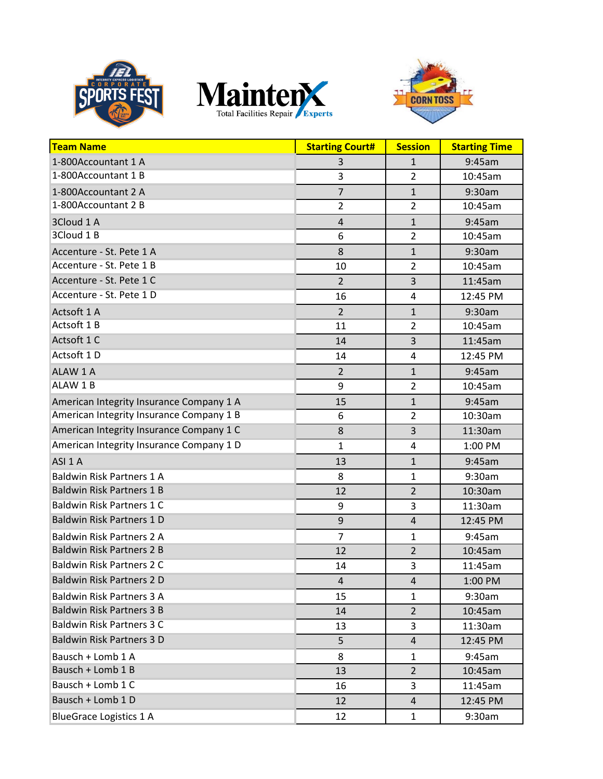





| <b>Team Name</b>                         | <b>Starting Court#</b>  | <b>Session</b>          | <b>Starting Time</b> |
|------------------------------------------|-------------------------|-------------------------|----------------------|
| 1-800Accountant 1 A                      | 3                       | $\mathbf{1}$            | 9:45am               |
| 1-800Accountant 1 B                      | 3                       | $\overline{2}$          | 10:45am              |
| 1-800Accountant 2 A                      | $\overline{7}$          | $\mathbf{1}$            | 9:30am               |
| 1-800Accountant 2 B                      | $\overline{2}$          | $\overline{2}$          | 10:45am              |
| 3Cloud 1 A                               | $\overline{\mathbf{r}}$ | $\mathbf{1}$            | 9:45am               |
| 3Cloud 1 B                               | 6                       | $\overline{2}$          | 10:45am              |
| Accenture - St. Pete 1 A                 | 8                       | $\mathbf{1}$            | 9:30am               |
| Accenture - St. Pete 1 B                 | 10                      | $\overline{2}$          | 10:45am              |
| Accenture - St. Pete 1 C                 | $\overline{2}$          | $\overline{3}$          | 11:45am              |
| Accenture - St. Pete 1 D                 | 16                      | 4                       | 12:45 PM             |
| Actsoft 1 A                              | $\overline{2}$          | $\mathbf{1}$            | 9:30am               |
| Actsoft 1 B                              | 11                      | $\overline{2}$          | 10:45am              |
| Actsoft 1 C                              | 14                      | $\overline{3}$          | 11:45am              |
| Actsoft 1 D                              | 14                      | 4                       | 12:45 PM             |
| ALAW 1 A                                 | 2                       | $\mathbf{1}$            | 9:45am               |
| ALAW 1B                                  | 9                       | $\overline{2}$          | 10:45am              |
| American Integrity Insurance Company 1 A | 15                      | $\mathbf{1}$            | 9:45am               |
| American Integrity Insurance Company 1 B | 6                       | $\overline{2}$          | 10:30am              |
| American Integrity Insurance Company 1 C | 8                       | $\overline{3}$          | 11:30am              |
| American Integrity Insurance Company 1 D | $\mathbf 1$             | $\overline{\mathbf{4}}$ | 1:00 PM              |
| ASI <sub>1</sub> A                       | 13                      | $\mathbf{1}$            | 9:45am               |
| <b>Baldwin Risk Partners 1 A</b>         | 8                       | 1                       | 9:30am               |
| <b>Baldwin Risk Partners 1 B</b>         | 12                      | $\overline{2}$          | 10:30am              |
| <b>Baldwin Risk Partners 1 C</b>         | 9                       | 3                       | 11:30am              |
| <b>Baldwin Risk Partners 1 D</b>         | 9                       | $\overline{4}$          | 12:45 PM             |
| <b>Baldwin Risk Partners 2 A</b>         | $\overline{7}$          | 1                       | 9:45am               |
| <b>Baldwin Risk Partners 2 B</b>         | 12                      | $\overline{2}$          | 10:45am              |
| <b>Baldwin Risk Partners 2 C</b>         | 14                      | 3                       | 11:45am              |
| <b>Baldwin Risk Partners 2 D</b>         | 4                       | $\overline{\mathbf{r}}$ | 1:00 PM              |
| <b>Baldwin Risk Partners 3 A</b>         | 15                      | 1                       | 9:30am               |
| <b>Baldwin Risk Partners 3 B</b>         | 14                      | $\overline{2}$          | 10:45am              |
| <b>Baldwin Risk Partners 3 C</b>         | 13                      | 3                       | 11:30am              |
| <b>Baldwin Risk Partners 3 D</b>         | 5                       | $\overline{4}$          | 12:45 PM             |
| Bausch + Lomb 1 A                        | 8                       | 1                       | 9:45am               |
| Bausch + Lomb 1 B                        | 13                      | $\overline{2}$          | 10:45am              |
| Bausch + Lomb 1 C                        | 16                      | 3                       | 11:45am              |
| Bausch + Lomb 1 D                        | 12                      | $\overline{4}$          | 12:45 PM             |
| <b>BlueGrace Logistics 1 A</b>           | 12                      | $\mathbf{1}$            | 9:30am               |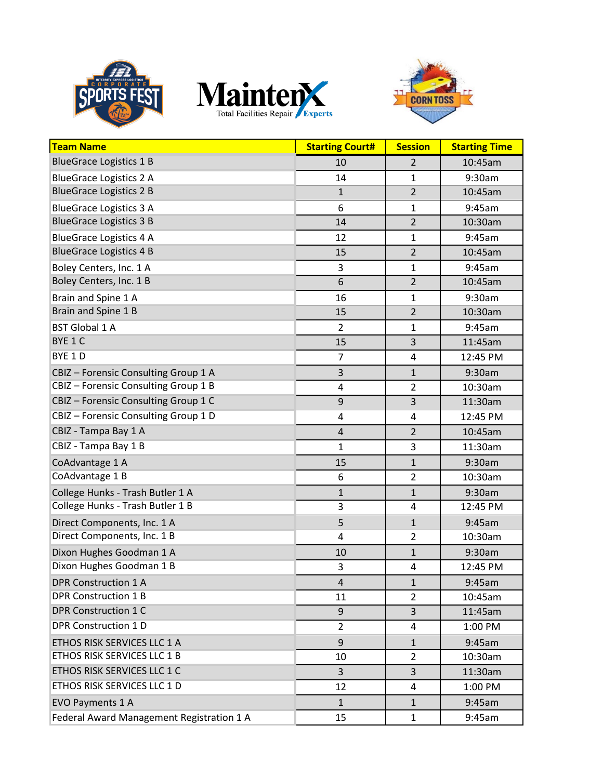





| <b>Team Name</b>                          | <b>Starting Court#</b>  | <b>Session</b> | <b>Starting Time</b> |
|-------------------------------------------|-------------------------|----------------|----------------------|
| <b>BlueGrace Logistics 1 B</b>            | 10                      | $\overline{2}$ | 10:45am              |
| <b>BlueGrace Logistics 2 A</b>            | 14                      | $\mathbf{1}$   | 9:30am               |
| <b>BlueGrace Logistics 2 B</b>            | $\mathbf{1}$            | $\overline{2}$ | 10:45am              |
| <b>BlueGrace Logistics 3 A</b>            | 6                       | $\mathbf{1}$   | 9:45am               |
| <b>BlueGrace Logistics 3 B</b>            | 14                      | $\overline{2}$ | 10:30am              |
| <b>BlueGrace Logistics 4 A</b>            | 12                      | $\mathbf{1}$   | 9:45am               |
| <b>BlueGrace Logistics 4 B</b>            | 15                      | $\overline{2}$ | 10:45am              |
| Boley Centers, Inc. 1 A                   | 3                       | $\mathbf{1}$   | 9:45am               |
| Boley Centers, Inc. 1 B                   | 6                       | $\overline{2}$ | 10:45am              |
| Brain and Spine 1 A                       | 16                      | $\mathbf{1}$   | 9:30am               |
| Brain and Spine 1 B                       | 15                      | $\overline{2}$ | 10:30am              |
| <b>BST Global 1 A</b>                     | $\overline{2}$          | $\mathbf{1}$   | 9:45am               |
| BYE 1 C                                   | 15                      | 3              | 11:45am              |
| BYE 1 D                                   | $\overline{7}$          | 4              | 12:45 PM             |
| CBIZ - Forensic Consulting Group 1 A      | 3                       | $\mathbf{1}$   | 9:30am               |
| CBIZ - Forensic Consulting Group 1 B      | $\overline{\mathbf{4}}$ | $\overline{2}$ | 10:30am              |
| CBIZ - Forensic Consulting Group 1 C      | 9                       | 3              | 11:30am              |
| CBIZ - Forensic Consulting Group 1 D      | 4                       | 4              | 12:45 PM             |
| CBIZ - Tampa Bay 1 A                      | $\sqrt{4}$              | $\overline{2}$ | 10:45am              |
| CBIZ - Tampa Bay 1 B                      | 1                       | 3              | 11:30am              |
| CoAdvantage 1 A                           | 15                      | $\mathbf{1}$   | 9:30am               |
| CoAdvantage 1 B                           | 6                       | $\overline{2}$ | 10:30am              |
| College Hunks - Trash Butler 1 A          | $\mathbf{1}$            | $\mathbf 1$    | 9:30am               |
| College Hunks - Trash Butler 1 B          | 3                       | 4              | 12:45 PM             |
| Direct Components, Inc. 1 A               | 5                       | $\mathbf{1}$   | 9:45am               |
| Direct Components, Inc. 1 B               | 4                       | $\overline{2}$ | 10:30am              |
| Dixon Hughes Goodman 1 A                  | 10                      | $\mathbf{1}$   | 9:30am               |
| Dixon Hughes Goodman 1 B                  | 3                       | 4              | 12:45 PM             |
| <b>DPR Construction 1 A</b>               | 4                       | 1              | 9:45am               |
| <b>DPR Construction 1 B</b>               | 11                      | $\overline{2}$ | 10:45am              |
| <b>DPR Construction 1 C</b>               | 9                       | 3              | 11:45am              |
| <b>DPR Construction 1 D</b>               | $\overline{2}$          | 4              | 1:00 PM              |
| ETHOS RISK SERVICES LLC 1 A               | 9                       | $\mathbf{1}$   | 9:45am               |
| ETHOS RISK SERVICES LLC 1 B               | 10                      | $\overline{2}$ | 10:30am              |
| ETHOS RISK SERVICES LLC 1 C               | 3                       | $\overline{3}$ | 11:30am              |
| ETHOS RISK SERVICES LLC 1 D               | 12                      | 4              | 1:00 PM              |
| <b>EVO Payments 1 A</b>                   | $\mathbf{1}$            | $\mathbf{1}$   | 9:45am               |
| Federal Award Management Registration 1 A | 15                      | $\mathbf{1}$   | 9:45am               |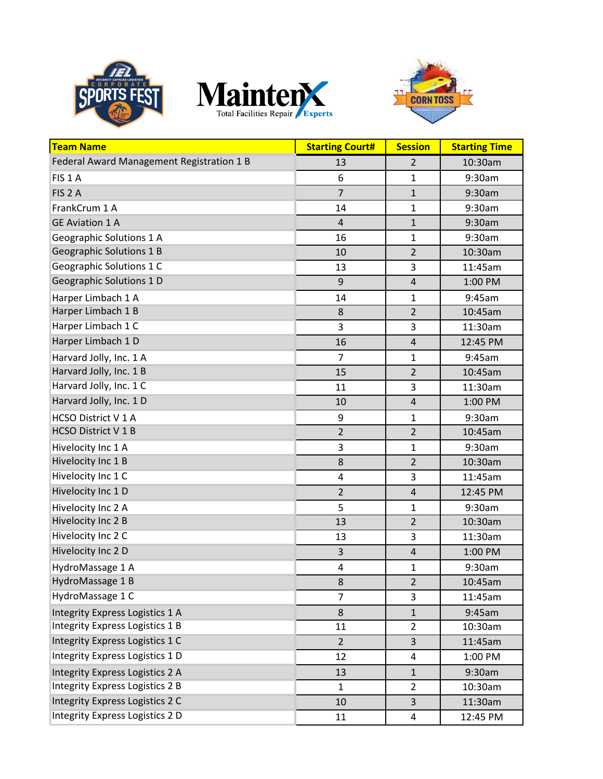





| <b>Team Name</b>                          | <b>Starting Court#</b> | <b>Session</b>          | <b>Starting Time</b> |
|-------------------------------------------|------------------------|-------------------------|----------------------|
| Federal Award Management Registration 1 B | 13                     | 2                       | 10:30am              |
| FIS <sub>1</sub> A                        | 6                      | $\mathbf{1}$            | 9:30am               |
| FIS <sub>2</sub> A                        | $\overline{7}$         | $\mathbf{1}$            | 9:30am               |
| FrankCrum 1 A                             | 14                     | $\mathbf{1}$            | 9:30am               |
| <b>GE Aviation 1 A</b>                    | $\overline{4}$         | $\mathbf{1}$            | 9:30am               |
| Geographic Solutions 1 A                  | 16                     | $\mathbf{1}$            | 9:30am               |
| <b>Geographic Solutions 1 B</b>           | 10                     | $\overline{2}$          | 10:30am              |
| Geographic Solutions 1 C                  | 13                     | 3                       | 11:45am              |
| Geographic Solutions 1 D                  | 9                      | $\overline{4}$          | 1:00 PM              |
| Harper Limbach 1 A                        | 14                     | $\mathbf{1}$            | 9:45am               |
| Harper Limbach 1 B                        | 8                      | $\overline{2}$          | 10:45am              |
| Harper Limbach 1 C                        | 3                      | 3                       | 11:30am              |
| Harper Limbach 1 D                        | 16                     | $\overline{4}$          | 12:45 PM             |
| Harvard Jolly, Inc. 1 A                   | $\overline{7}$         | $\mathbf{1}$            | 9:45am               |
| Harvard Jolly, Inc. 1 B                   | 15                     | $\overline{2}$          | 10:45am              |
| Harvard Jolly, Inc. 1 C                   | 11                     | 3                       | 11:30am              |
| Harvard Jolly, Inc. 1 D                   | 10                     | $\overline{4}$          | 1:00 PM              |
| HCSO District V 1 A                       | 9                      | $\mathbf{1}$            | 9:30am               |
| HCSO District V 1 B                       | $\overline{2}$         | $\overline{2}$          | 10:45am              |
| Hivelocity Inc 1 A                        | 3                      | $\mathbf{1}$            | 9:30am               |
| Hivelocity Inc 1 B                        | 8                      | $\overline{2}$          | 10:30am              |
| Hivelocity Inc 1 C                        | 4                      | 3                       | 11:45am              |
| Hivelocity Inc 1 D                        | $\overline{2}$         | $\overline{4}$          | 12:45 PM             |
| Hivelocity Inc 2 A                        | 5                      | $\mathbf{1}$            | 9:30am               |
| Hivelocity Inc 2 B                        | 13                     | $\overline{2}$          | 10:30am              |
| Hivelocity Inc 2 C                        | 13                     | 3                       | 11:30am              |
| Hivelocity Inc 2 D                        | $\mathsf{3}$           | $\overline{\mathbf{4}}$ | 1:00 PM              |
| HydroMassage 1 A                          | $\pmb{4}$              | $\mathbf 1$             | 9:30am               |
| HydroMassage 1 B                          | 8                      | $\overline{2}$          | 10:45am              |
| HydroMassage 1 C                          | $\overline{7}$         | 3                       | 11:45am              |
| Integrity Express Logistics 1 A           | $\bf 8$                | $\mathbf{1}$            | 9:45am               |
| Integrity Express Logistics 1 B           | 11                     | $\overline{2}$          | 10:30am              |
| <b>Integrity Express Logistics 1 C</b>    | $\overline{2}$         | 3                       | 11:45am              |
| <b>Integrity Express Logistics 1 D</b>    | 12                     | 4                       | 1:00 PM              |
| <b>Integrity Express Logistics 2 A</b>    | 13                     | $\mathbf{1}$            | 9:30am               |
| <b>Integrity Express Logistics 2 B</b>    | $\mathbf{1}$           | $\overline{2}$          | 10:30am              |
| <b>Integrity Express Logistics 2 C</b>    | 10                     | $\overline{3}$          | 11:30am              |
| Integrity Express Logistics 2 D           | 11                     | $\overline{\mathbf{4}}$ | 12:45 PM             |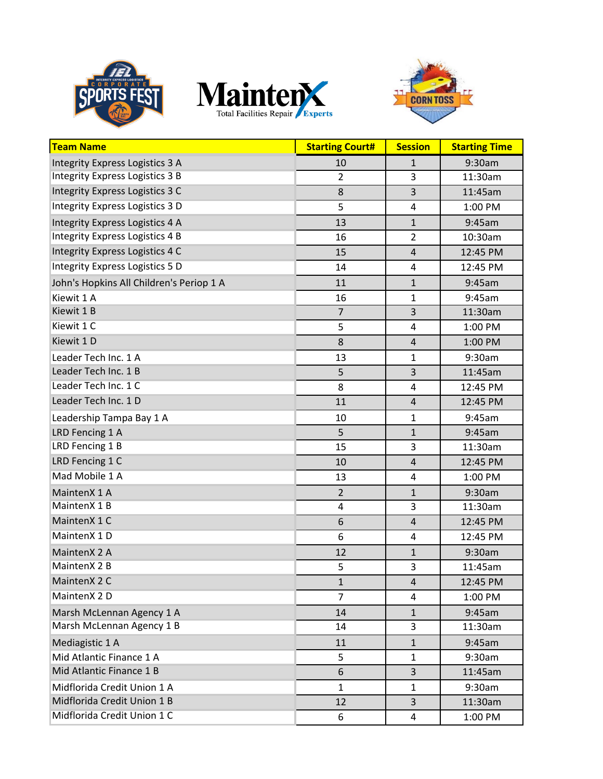





| <b>Team Name</b>                         | <b>Starting Court#</b> | <b>Session</b>          | <b>Starting Time</b> |
|------------------------------------------|------------------------|-------------------------|----------------------|
| <b>Integrity Express Logistics 3 A</b>   | 10                     | $\mathbf{1}$            | 9:30am               |
| <b>Integrity Express Logistics 3 B</b>   | $\overline{2}$         | 3                       | 11:30am              |
| <b>Integrity Express Logistics 3 C</b>   | $\bf 8$                | $\overline{3}$          | 11:45am              |
| <b>Integrity Express Logistics 3 D</b>   | 5                      | $\overline{4}$          | 1:00 PM              |
| <b>Integrity Express Logistics 4 A</b>   | 13                     | $\mathbf{1}$            | 9:45am               |
| <b>Integrity Express Logistics 4 B</b>   | 16                     | $\overline{2}$          | 10:30am              |
| <b>Integrity Express Logistics 4 C</b>   | 15                     | $\overline{4}$          | 12:45 PM             |
| <b>Integrity Express Logistics 5 D</b>   | 14                     | $\overline{4}$          | 12:45 PM             |
| John's Hopkins All Children's Periop 1 A | 11                     | $\mathbf{1}$            | 9:45am               |
| Kiewit 1 A                               | 16                     | $\mathbf{1}$            | 9:45am               |
| Kiewit 1 B                               | $\overline{7}$         | 3                       | 11:30am              |
| Kiewit 1 C                               | 5                      | $\overline{\mathbf{4}}$ | 1:00 PM              |
| Kiewit 1 D                               | 8                      | $\overline{4}$          | 1:00 PM              |
| Leader Tech Inc. 1 A                     | 13                     | $\mathbf{1}$            | 9:30am               |
| Leader Tech Inc. 1 B                     | 5                      | $\overline{3}$          | 11:45am              |
| Leader Tech Inc. 1 C                     | 8                      | 4                       | 12:45 PM             |
| Leader Tech Inc. 1 D                     | 11                     | $\overline{4}$          | 12:45 PM             |
| Leadership Tampa Bay 1 A                 | 10                     | $\mathbf{1}$            | 9:45am               |
| LRD Fencing 1 A                          | 5                      | $\mathbf{1}$            | 9:45am               |
| LRD Fencing 1 B                          | 15                     | 3                       | 11:30am              |
| LRD Fencing 1 C                          | 10                     | $\overline{4}$          | 12:45 PM             |
| Mad Mobile 1 A                           | 13                     | $\overline{4}$          | 1:00 PM              |
| MaintenX 1 A                             | $\overline{2}$         | $\mathbf{1}$            | 9:30am               |
| MaintenX 1 B                             | $\overline{4}$         | 3                       | 11:30am              |
| MaintenX 1 C                             | 6                      | $\overline{4}$          | 12:45 PM             |
| MaintenX 1 D                             | 6                      | 4                       | 12:45 PM             |
| MaintenX 2 A                             | 12                     | $\mathbf{1}$            | 9:30am               |
| MaintenX 2 B                             | 5                      | 3                       | 11:45am              |
| MaintenX 2 C                             | 1                      | 4                       | 12:45 PM             |
| MaintenX 2 D                             | $\overline{7}$         | 4                       | 1:00 PM              |
| Marsh McLennan Agency 1 A                | 14                     | $\mathbf{1}$            | 9:45am               |
| Marsh McLennan Agency 1 B                | 14                     | 3                       | 11:30am              |
| Mediagistic 1 A                          | 11                     | $\mathbf{1}$            | 9:45am               |
| Mid Atlantic Finance 1 A                 | 5                      | $\mathbf{1}$            | 9:30am               |
| Mid Atlantic Finance 1 B                 | 6                      | 3                       | 11:45am              |
| Midflorida Credit Union 1 A              | $\mathbf{1}$           | $\mathbf{1}$            | 9:30am               |
| Midflorida Credit Union 1 B              | 12                     | 3                       | 11:30am              |
| Midflorida Credit Union 1 C              | 6                      | 4                       | 1:00 PM              |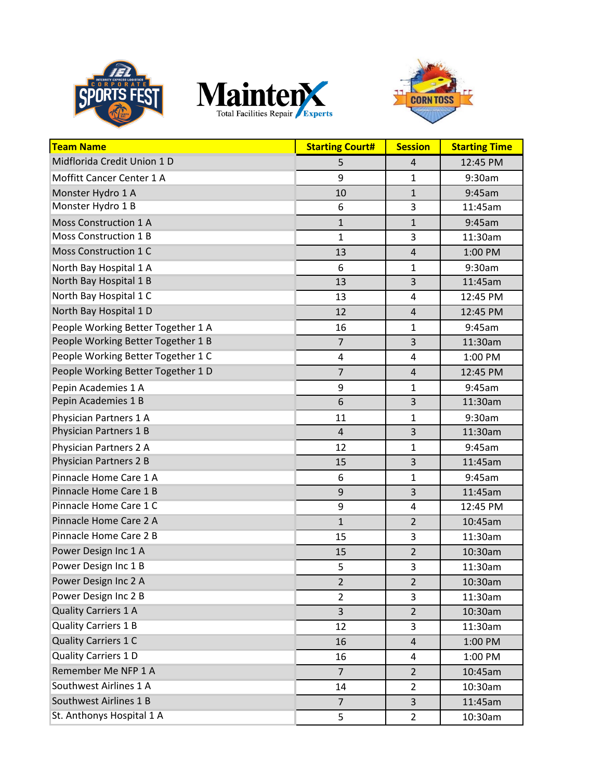





| <b>Team Name</b>                   | <b>Starting Court#</b> | <b>Session</b> | <b>Starting Time</b> |
|------------------------------------|------------------------|----------------|----------------------|
| Midflorida Credit Union 1 D        | 5                      | $\overline{4}$ | 12:45 PM             |
| Moffitt Cancer Center 1 A          | 9                      | 1              | 9:30am               |
| Monster Hydro 1 A                  | 10                     | $\mathbf{1}$   | 9:45am               |
| Monster Hydro 1 B                  | 6                      | 3              | 11:45am              |
| Moss Construction 1 A              | $\mathbf{1}$           | $\mathbf{1}$   | 9:45am               |
| Moss Construction 1 B              | $\mathbf 1$            | 3              | 11:30am              |
| Moss Construction 1 C              | 13                     | $\overline{4}$ | 1:00 PM              |
| North Bay Hospital 1 A             | 6                      | $\mathbf{1}$   | 9:30am               |
| North Bay Hospital 1 B             | 13                     | 3              | 11:45am              |
| North Bay Hospital 1 C             | 13                     | 4              | 12:45 PM             |
| North Bay Hospital 1 D             | 12                     | $\overline{4}$ | 12:45 PM             |
| People Working Better Together 1 A | 16                     | $\mathbf{1}$   | 9:45am               |
| People Working Better Together 1 B | $\overline{7}$         | $\overline{3}$ | 11:30am              |
| People Working Better Together 1 C | 4                      | $\overline{4}$ | 1:00 PM              |
| People Working Better Together 1 D | $\overline{7}$         | $\overline{4}$ | 12:45 PM             |
| Pepin Academies 1 A                | 9                      | $\mathbf{1}$   | 9:45am               |
| Pepin Academies 1 B                | 6                      | 3              | 11:30am              |
| Physician Partners 1 A             | 11                     | $\mathbf{1}$   | 9:30am               |
| Physician Partners 1 B             | $\overline{4}$         | $\overline{3}$ | 11:30am              |
| Physician Partners 2 A             | 12                     | 1              | 9:45am               |
| Physician Partners 2 B             | 15                     | 3              | 11:45am              |
| Pinnacle Home Care 1 A             | 6                      | 1              | 9:45am               |
| Pinnacle Home Care 1 B             | 9                      | 3              | 11:45am              |
| Pinnacle Home Care 1 C             | 9                      | 4              | 12:45 PM             |
| Pinnacle Home Care 2 A             | $\mathbf{1}$           | $\overline{2}$ | 10:45am              |
| Pinnacle Home Care 2 B             | 15                     | 3              | 11:30am              |
| Power Design Inc 1 A               | 15                     | $\mathbf 2$    | 10:30am              |
| Power Design Inc 1 B               | 5                      | 3              | 11:30am              |
| Power Design Inc 2 A               | $\overline{c}$         | $\overline{2}$ | 10:30am              |
| Power Design Inc 2 B               | $\overline{2}$         | 3              | 11:30am              |
| <b>Quality Carriers 1 A</b>        | 3                      | $\overline{2}$ | 10:30am              |
| <b>Quality Carriers 1 B</b>        | 12                     | 3              | 11:30am              |
| <b>Quality Carriers 1 C</b>        | 16                     | 4              | 1:00 PM              |
| <b>Quality Carriers 1 D</b>        | 16                     | 4              | 1:00 PM              |
| Remember Me NFP 1 A                | $\overline{7}$         | $\overline{2}$ | 10:45am              |
| Southwest Airlines 1 A             | 14                     | $\overline{2}$ | 10:30am              |
| Southwest Airlines 1 B             | $\overline{7}$         | 3              | 11:45am              |
| St. Anthonys Hospital 1 A          | 5                      | $\overline{2}$ | 10:30am              |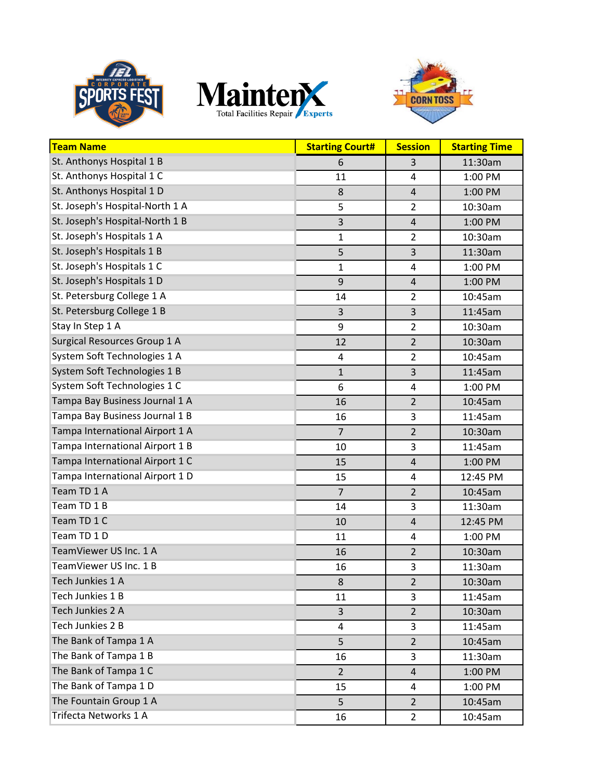





| <b>Team Name</b>                | <b>Starting Court#</b>  | <b>Session</b>          | <b>Starting Time</b> |
|---------------------------------|-------------------------|-------------------------|----------------------|
| St. Anthonys Hospital 1 B       | 6                       | 3                       | 11:30am              |
| St. Anthonys Hospital 1 C       | 11                      | $\overline{4}$          | 1:00 PM              |
| St. Anthonys Hospital 1 D       | 8                       | $\overline{4}$          | 1:00 PM              |
| St. Joseph's Hospital-North 1 A | 5                       | $\overline{2}$          | 10:30am              |
| St. Joseph's Hospital-North 1 B | 3                       | $\sqrt{4}$              | 1:00 PM              |
| St. Joseph's Hospitals 1 A      | $\mathbf{1}$            | $\overline{2}$          | 10:30am              |
| St. Joseph's Hospitals 1 B      | 5                       | $\overline{3}$          | 11:30am              |
| St. Joseph's Hospitals 1 C      | $\mathbf{1}$            | 4                       | 1:00 PM              |
| St. Joseph's Hospitals 1 D      | 9                       | $\overline{4}$          | 1:00 PM              |
| St. Petersburg College 1 A      | 14                      | $\overline{2}$          | 10:45am              |
| St. Petersburg College 1 B      | 3                       | $\overline{3}$          | 11:45am              |
| Stay In Step 1 A                | 9                       | $\overline{2}$          | 10:30am              |
| Surgical Resources Group 1 A    | 12                      | $\overline{2}$          | 10:30am              |
| System Soft Technologies 1 A    | $\overline{\mathbf{4}}$ | $\overline{2}$          | 10:45am              |
| System Soft Technologies 1 B    | $\mathbf{1}$            | $\overline{\mathbf{3}}$ | 11:45am              |
| System Soft Technologies 1 C    | 6                       | $\overline{4}$          | 1:00 PM              |
| Tampa Bay Business Journal 1 A  | 16                      | $\overline{2}$          | 10:45am              |
| Tampa Bay Business Journal 1 B  | 16                      | 3                       | 11:45am              |
| Tampa International Airport 1 A | $\overline{7}$          | $\overline{2}$          | 10:30am              |
| Tampa International Airport 1 B | 10                      | 3                       | 11:45am              |
| Tampa International Airport 1 C | 15                      | $\overline{4}$          | 1:00 PM              |
| Tampa International Airport 1 D | 15                      | 4                       | 12:45 PM             |
| Team TD 1 A                     | $\overline{7}$          | $\overline{2}$          | 10:45am              |
| Team TD 1 B                     | 14                      | 3                       | 11:30am              |
| Team TD 1 C                     | 10                      | $\overline{4}$          | 12:45 PM             |
| Team TD 1 D                     | 11                      | $\overline{4}$          | 1:00 PM              |
| TeamViewer US Inc. 1 A          | 16                      | $\mathbf 2$             | 10:30am              |
| TeamViewer US Inc. 1 B          | 16                      | $\mathsf 3$             | 11:30am              |
| Tech Junkies 1 A                | 8                       | $\overline{2}$          | 10:30am              |
| Tech Junkies 1 B                | 11                      | 3                       | 11:45am              |
| Tech Junkies 2 A                | 3                       | $\overline{2}$          | 10:30am              |
| Tech Junkies 2 B                | 4                       | 3                       | 11:45am              |
| The Bank of Tampa 1 A           | 5                       | $\overline{2}$          | 10:45am              |
| The Bank of Tampa 1 B           | 16                      | 3                       | 11:30am              |
| The Bank of Tampa 1 C           | $\overline{2}$          | 4                       | 1:00 PM              |
| The Bank of Tampa 1 D           | 15                      | 4                       | 1:00 PM              |
| The Fountain Group 1 A          | 5                       | $\overline{2}$          | 10:45am              |
| Trifecta Networks 1 A           | 16                      | $\overline{2}$          | 10:45am              |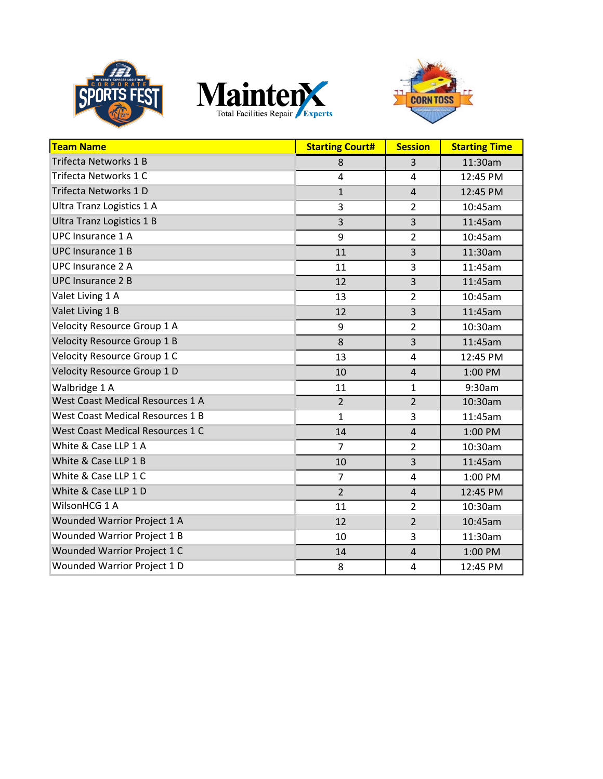





| <b>Team Name</b>                        | <b>Starting Court#</b> | <b>Session</b> | <b>Starting Time</b> |
|-----------------------------------------|------------------------|----------------|----------------------|
| <b>Trifecta Networks 1 B</b>            | 8                      | 3              | 11:30am              |
| Trifecta Networks 1 C                   | 4                      | 4              | 12:45 PM             |
| Trifecta Networks 1 D                   | $\mathbf{1}$           | $\overline{4}$ | 12:45 PM             |
| Ultra Tranz Logistics 1 A               | 3                      | $\overline{2}$ | 10:45am              |
| Ultra Tranz Logistics 1 B               | 3                      | $\overline{3}$ | 11:45am              |
| <b>UPC Insurance 1 A</b>                | 9                      | $\overline{2}$ | 10:45am              |
| <b>UPC Insurance 1 B</b>                | 11                     | $\overline{3}$ | 11:30am              |
| <b>UPC Insurance 2 A</b>                | 11                     | 3              | 11:45am              |
| <b>UPC Insurance 2 B</b>                | 12                     | $\overline{3}$ | 11:45am              |
| Valet Living 1 A                        | 13                     | $\overline{2}$ | 10:45am              |
| Valet Living 1 B                        | 12                     | 3              | 11:45am              |
| <b>Velocity Resource Group 1 A</b>      | 9                      | $\overline{2}$ | 10:30am              |
| <b>Velocity Resource Group 1 B</b>      | 8                      | $\overline{3}$ | 11:45am              |
| <b>Velocity Resource Group 1 C</b>      | 13                     | $\overline{4}$ | 12:45 PM             |
| Velocity Resource Group 1 D             | 10                     | $\overline{4}$ | 1:00 PM              |
| Walbridge 1 A                           | 11                     | $\mathbf{1}$   | 9:30am               |
| <b>West Coast Medical Resources 1 A</b> | $\overline{2}$         | $\overline{2}$ | 10:30am              |
| <b>West Coast Medical Resources 1 B</b> | $\mathbf{1}$           | 3              | 11:45am              |
| West Coast Medical Resources 1 C        | 14                     | $\overline{4}$ | 1:00 PM              |
| White & Case LLP 1 A                    | $\overline{7}$         | $\overline{2}$ | 10:30am              |
| White & Case LLP 1 B                    | 10                     | $\overline{3}$ | 11:45am              |
| White & Case LLP 1 C                    | $\overline{7}$         | 4              | 1:00 PM              |
| White & Case LLP 1 D                    | $\overline{2}$         | $\overline{4}$ | 12:45 PM             |
| WilsonHCG 1 A                           | 11                     | $\overline{2}$ | 10:30am              |
| Wounded Warrior Project 1 A             | 12                     | $\overline{2}$ | 10:45am              |
| <b>Wounded Warrior Project 1 B</b>      | 10                     | 3              | 11:30am              |
| Wounded Warrior Project 1 C             | 14                     | $\overline{4}$ | 1:00 PM              |
| <b>Wounded Warrior Project 1 D</b>      | 8                      | 4              | 12:45 PM             |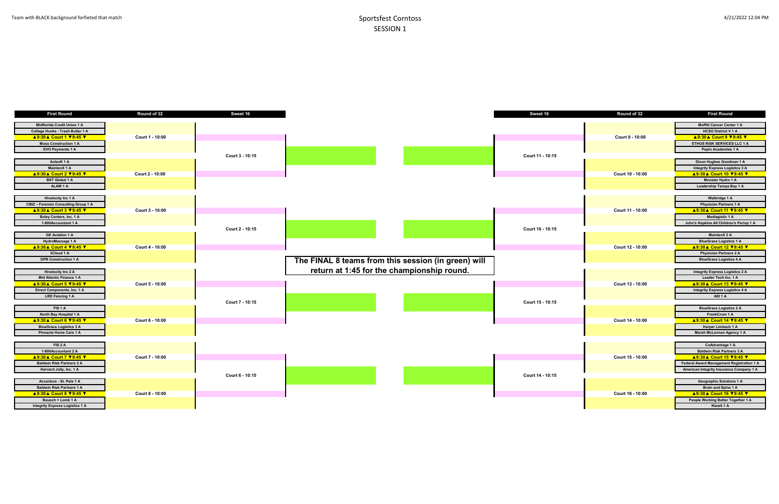| Round of 32      | First Round                                                    |
|------------------|----------------------------------------------------------------|
|                  | <b>Moffitt Cancer Center 1 A</b>                               |
|                  | <b>HCSO District V 1 A</b>                                     |
| Court 9 - 10:00  | ▲9:30▲ Court 9 ▼9:45 ▼                                         |
|                  | <b>ETHOS RISK SERVICES LLC 1 A</b>                             |
|                  | Pepin Academies 1 A                                            |
|                  |                                                                |
|                  | Dixon Hughes Goodman 1 A                                       |
|                  | <b>Integrity Express Logistics 3 A</b>                         |
| Court 10 - 10:00 | <u> ▲ 9:30 ▲ Court 10 ▼ 9:45 ▼</u>                             |
|                  | Monster Hydro 1 A                                              |
|                  | Leadership Tampa Bay 1 A                                       |
|                  |                                                                |
|                  | Walbridge 1 A                                                  |
|                  | <b>Physician Partners 1 A</b>                                  |
| Court 11 - 10:00 | <b>A9:30 A Court 11 V9:45 V</b>                                |
|                  | <b>Mediagistic 1 A</b>                                         |
|                  | John's Hopkins All Children's Periop 1 A                       |
|                  |                                                                |
|                  | <b>MaintenX 2 A</b>                                            |
|                  | <b>BlueGrace Logistics 1 A</b>                                 |
| Court 12 - 10:00 | <u> A 9:30 A Court 12 ♥9:45 ♥</u>                              |
|                  | <b>Physician Partners 2 A</b>                                  |
|                  | <b>BlueGrace Logistics 4 A</b>                                 |
|                  |                                                                |
|                  | <b>Integrity Express Logistics 2 A</b><br>Leader Tech Inc. 1 A |
| Court 13 - 10:00 | <b>A9:30 A Court 13 V9:45 V</b>                                |
|                  | <b>Integrity Express Logistics 4 A</b>                         |
|                  | ASI <sub>1</sub> A                                             |
|                  |                                                                |
|                  | <b>BlueGrace Logistics 2 A</b>                                 |
|                  | FrankCrum 1 A                                                  |
| Court 14 - 10:00 | <u> A 9:30 A Court 14 V 9:45 V</u>                             |
|                  | Harper Limbach 1 A                                             |
|                  | Marsh McLennan Agency 1 A                                      |
|                  |                                                                |
|                  | CoAdvantage 1 A                                                |
|                  | <b>Baldwin Risk Partners 3 A</b>                               |
| Court 15 - 10:00 | <u> A 9:30 A Court 15 V 9:45 V</u>                             |
|                  | Federal Award Management Registration 1 A                      |
|                  | American Integrity Insurance Company 1 A                       |
|                  |                                                                |
|                  | <b>Geographic Solutions 1 A</b>                                |
|                  | <b>Brain and Spine 1 A</b>                                     |
| Court 16 - 10:00 | <b>A9:30 A Court 16 V9:45 V</b>                                |
|                  | People Working Better Together 1 A                             |
|                  | Kiewit 1 A                                                     |

| <b>First Round</b>                     | Round of 32     | Sweet 16        |                                                     | Sweet 16         | Round of 32      | <b>First Round</b>                        |
|----------------------------------------|-----------------|-----------------|-----------------------------------------------------|------------------|------------------|-------------------------------------------|
|                                        |                 |                 |                                                     |                  |                  |                                           |
| Midflorida Credit Union 1 A            |                 |                 |                                                     |                  |                  | <b>Moffitt Cancer Center 1 A</b>          |
| College Hunks - Trash Butler 1 A       |                 |                 |                                                     |                  |                  | <b>HCSO District V1A</b>                  |
| <b>A9:30 A Court 1 V9:45 V</b>         | Court 1 - 10:00 |                 |                                                     |                  | Court 9 - 10:00  | <b>A9:30 A Court 9 V9:45 V</b>            |
| <b>Moss Construction 1 A</b>           |                 |                 |                                                     |                  |                  | ETHOS RISK SERVICES LLC 1 A               |
| <b>EVO Payments 1 A</b>                |                 |                 |                                                     |                  |                  | Pepin Academies 1 A                       |
|                                        |                 | Court 3 - 10:15 |                                                     | Court 11 - 10:15 |                  |                                           |
| Actsoft 1 A                            |                 |                 |                                                     |                  |                  | Dixon Hughes Goodman 1 A                  |
| MaintenX 1 A                           |                 |                 |                                                     |                  |                  | <b>Integrity Express Logistics 3 A</b>    |
| <b>A9:30 A Court 2 V9:45 V</b>         | Court 2 - 10:00 |                 |                                                     |                  | Court 10 - 10:00 | <b>A9:30 A Court 10 V9:45 V</b>           |
| <b>BST Global 1 A</b>                  |                 |                 |                                                     |                  |                  | Monster Hydro 1 A                         |
| ALAW 1 A                               |                 |                 |                                                     |                  |                  | Leadership Tampa Bay 1 A                  |
|                                        |                 |                 |                                                     |                  |                  |                                           |
| Hivelocity Inc 1 A                     |                 |                 |                                                     |                  |                  | Walbridge 1 A                             |
| CBIZ - Forensic Consulting Group 1 A   |                 |                 |                                                     |                  |                  | <b>Physician Partners 1 A</b>             |
| <b>A9:30 A Court 3 V9:45 V</b>         | Court 3 - 10:00 |                 |                                                     |                  | Court 11 - 10:00 | A 9:30 A Court 11 V 9:45 V                |
| Boley Centers, Inc. 1 A                |                 |                 |                                                     |                  |                  | Mediagistic 1 A                           |
| 1-800Accountant 1 A                    |                 |                 |                                                     |                  |                  | John's Hopkins All Children's Periop 1 A  |
|                                        |                 | Court 2 - 10:15 |                                                     | Court 10 - 10:15 |                  |                                           |
| <b>GE Aviation 1 A</b>                 |                 |                 |                                                     |                  |                  | MaintenX 2 A                              |
| HydroMassage 1 A                       |                 |                 |                                                     |                  |                  | <b>BlueGrace Logistics 1 A</b>            |
| <b>A9:30 A Court 4 V9:45 V</b>         | Court 4 - 10:00 |                 |                                                     |                  | Court 12 - 10:00 | ▲9:30▲ Court 12 V9:45 V                   |
| 3Cloud 1 A                             |                 |                 |                                                     |                  |                  | <b>Physician Partners 2 A</b>             |
| <b>DPR Construction 1 A</b>            |                 |                 | The FINAL 8 teams from this session (in green) will |                  |                  | <b>BlueGrace Logistics 4 A</b>            |
|                                        |                 |                 |                                                     |                  |                  |                                           |
| <b>Hivelocity Inc 2 A</b>              |                 |                 | return at 1:45 for the championship round.          |                  |                  | <b>Integrity Express Logistics 2 A</b>    |
| Mid Atlantic Finance 1 A               |                 |                 |                                                     |                  |                  | Leader Tech Inc. 1 A                      |
| <b>A9:30 A Court 5 V9:45 V</b>         | Court 5 - 10:00 |                 |                                                     |                  | Court 13 - 10:00 | <b>A9:30 A Court 13 V9:45 V</b>           |
| Direct Components, Inc. 1 A            |                 |                 |                                                     |                  |                  | <b>Integrity Express Logistics 4 A</b>    |
| LRD Fencing 1 A                        |                 |                 |                                                     |                  |                  | ASI <sub>1</sub> A                        |
|                                        |                 | Court 7 - 10:15 |                                                     | Court 15 - 10:15 |                  |                                           |
| FIS <sub>1</sub> A                     |                 |                 |                                                     |                  |                  | <b>BlueGrace Logistics 2 A</b>            |
| North Bay Hospital 1 A                 |                 |                 |                                                     |                  |                  | FrankCrum 1 A                             |
| <b>A9:30 A Court 6 V9:45 V</b>         | Court 6 - 10:00 |                 |                                                     |                  | Court 14 - 10:00 | A 9:30 A Court 14 V 9:45 V                |
|                                        |                 |                 |                                                     |                  |                  |                                           |
| <b>BlueGrace Logistics 3 A</b>         |                 |                 |                                                     |                  |                  | Harper Limbach 1 A                        |
| Pinnacle Home Care 1 A                 |                 |                 |                                                     |                  |                  | Marsh McLennan Agency 1 A                 |
|                                        |                 |                 |                                                     |                  |                  |                                           |
| FIS <sub>2</sub> A                     |                 |                 |                                                     |                  |                  | CoAdvantage 1 A                           |
| 1-800Accountant 2 A                    |                 |                 |                                                     |                  |                  | <b>Baldwin Risk Partners 3 A</b>          |
| <b>A9:30 A Court 7 V9:45 V</b>         | Court 7 - 10:00 |                 |                                                     |                  | Court 15 - 10:00 | <b>A9:30 A Court 15 V9:45 V</b>           |
| <b>Baldwin Risk Partners 2 A</b>       |                 |                 |                                                     |                  |                  | Federal Award Management Registration 1 / |
| Harvard Jolly, Inc. 1 A                |                 |                 |                                                     |                  |                  | American Integrity Insurance Company 1 A  |
|                                        |                 | Court 6 - 10:15 |                                                     | Court 14 - 10:15 |                  |                                           |
| Accenture - St. Pete 1 A               |                 |                 |                                                     |                  |                  | <b>Geographic Solutions 1 A</b>           |
| <b>Baldwin Risk Partners 1 A</b>       |                 |                 |                                                     |                  |                  | Brain and Spine 1 A                       |
| <b>A9:30 A Court 8 V9:45 V</b>         | Court 8 - 10:00 |                 |                                                     |                  | Court 16 - 10:00 | <b>A9:30 A Court 16 V9:45 V</b>           |
| Bausch + Lomb 1 A                      |                 |                 |                                                     |                  |                  | People Working Better Together 1 A        |
| <b>Integrity Express Logistics 1 A</b> |                 |                 |                                                     |                  |                  | Kiewit 1 A                                |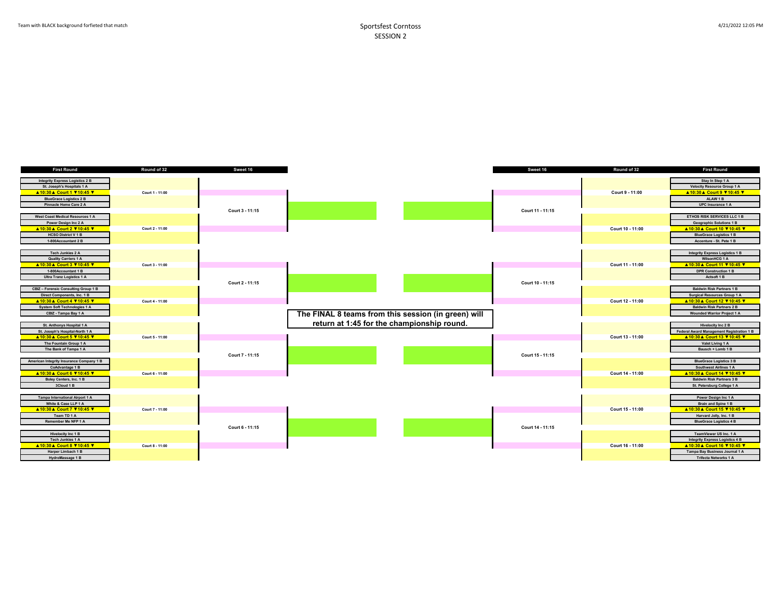| <b>First Round</b>                          | Round of 32     | Sweet 16        |                                                     | Sweet 16         | Round of 32      | <b>First Round</b>                        |
|---------------------------------------------|-----------------|-----------------|-----------------------------------------------------|------------------|------------------|-------------------------------------------|
|                                             |                 |                 |                                                     |                  |                  |                                           |
| <b>Integrity Express Logistics 2 B</b>      |                 |                 |                                                     |                  |                  | Stay In Step 1 A                          |
| St. Joseph's Hospitals 1 A                  |                 |                 |                                                     |                  |                  | <b>Velocity Resource Group 1 A</b>        |
| ▲10:30▲ Court 1 710:45 7                    | Court 1 - 11:00 |                 |                                                     |                  | Court 9 - 11:00  | ▲10:30▲ Court 9 V10:45 V                  |
| <b>BlueGrace Logistics 2 B</b>              |                 |                 |                                                     |                  |                  | ALAW 1B                                   |
| Pinnacle Home Care 2 A                      |                 |                 |                                                     |                  |                  | UPC Insurance 1 A                         |
|                                             |                 | Court 3 - 11:15 |                                                     | Court 11 - 11:15 |                  |                                           |
| West Coast Medical Resources 1 A            |                 |                 |                                                     |                  |                  | ETHOS RISK SERVICES LLC 1 B               |
| Power Design Inc 2 A                        |                 |                 |                                                     |                  |                  | <b>Geographic Solutions 1 B</b>           |
| <b>A10:30 A Court 2 V10:45 V</b>            | Court 2 - 11:00 |                 |                                                     |                  | Court 10 - 11:00 | ▲10:30▲ Court 10 710:45 V                 |
| <b>HCSO District V 1 B</b>                  |                 |                 |                                                     |                  |                  | <b>BlueGrace Logistics 1 B</b>            |
| 1-800Accountant 2 B                         |                 |                 |                                                     |                  |                  | Accenture - St. Pete 1 B                  |
|                                             |                 |                 |                                                     |                  |                  |                                           |
| Tech Junkies 2 A                            |                 |                 |                                                     |                  |                  |                                           |
|                                             |                 |                 |                                                     |                  |                  | <b>Integrity Express Logistics 1 B</b>    |
| <b>Quality Carriers 1 A</b>                 |                 |                 |                                                     |                  |                  | WilsonHCG 1 A                             |
| ▲10:30▲ Court 3 710:45 V                    | Court 3 - 11:00 |                 |                                                     |                  | Court 11 - 11:00 | ▲10:30▲ Court 11 V10:45 V                 |
| 1-800Accountant 1 B                         |                 |                 |                                                     |                  |                  | <b>DPR Construction 1 B</b>               |
| <b>Ultra Tranz Logistics 1 A</b>            |                 |                 |                                                     |                  |                  | Actsoft 1 B                               |
|                                             |                 | Court 2 - 11:15 |                                                     | Court 10 - 11:15 |                  |                                           |
| <b>CBIZ - Forensic Consulting Group 1 B</b> |                 |                 |                                                     |                  |                  | <b>Baldwin Risk Partners 1 B</b>          |
| Direct Components, Inc. 1 B                 |                 |                 |                                                     |                  |                  | <b>Surgical Resources Group 1 A</b>       |
| ▲10:30▲ Court 4 V10:45 V                    | Court 4 - 11:00 |                 |                                                     |                  | Court 12 - 11:00 | ▲10:30▲ Court 12 V10:45 V                 |
| <b>System Soft Technologies 1 A</b>         |                 |                 |                                                     |                  |                  | <b>Baldwin Risk Partners 2 B</b>          |
| CBIZ - Tampa Bay 1 A                        |                 |                 | The FINAL 8 teams from this session (in green) will |                  |                  | <b>Wounded Warrior Project 1 A</b>        |
|                                             |                 |                 |                                                     |                  |                  |                                           |
| St. Anthonys Hospital 1 A                   |                 |                 | return at 1:45 for the championship round.          |                  |                  | Hivelocity Inc 2 B                        |
| St. Joseph's Hospital-North 1 A             |                 |                 |                                                     |                  |                  | Federal Award Management Registration 1 B |
| ▲10:30▲ Court 5 V10:45 V                    | Court 5 - 11:00 |                 |                                                     |                  | Court 13 - 11:00 | ▲10:30▲ Court 13 ♥10:45 ♥                 |
| The Fountain Group 1 A                      |                 |                 |                                                     |                  |                  | Valet Living 1 A                          |
| The Bank of Tampa 1 A                       |                 |                 |                                                     |                  |                  | Bausch + Lomb 1 B                         |
|                                             |                 | Court 7 - 11:15 |                                                     | Court 15 - 11:15 |                  |                                           |
| American Integrity Insurance Company 1 B    |                 |                 |                                                     |                  |                  | <b>BlueGrace Logistics 3 B</b>            |
| CoAdvantage 1 B                             |                 |                 |                                                     |                  |                  | Southwest Airlines 1 A                    |
|                                             |                 |                 |                                                     |                  |                  |                                           |
| <b>A10:30 A Court 6 V10:45 V</b>            | Court 6 - 11:00 |                 |                                                     |                  | Court 14 - 11:00 | ▲10:30▲ Court 14 V10:45 V                 |
| Boley Centers, Inc. 1 B                     |                 |                 |                                                     |                  |                  | <b>Baldwin Risk Partners 3 B</b>          |
| 3Cloud 1 B                                  |                 |                 |                                                     |                  |                  | St. Petersburg College 1 A                |
|                                             |                 |                 |                                                     |                  |                  |                                           |
| Tampa International Airport 1 A             |                 |                 |                                                     |                  |                  | Power Design Inc 1 A                      |
| White & Case LLP 1 A                        |                 |                 |                                                     |                  |                  | Brain and Spine 1 B                       |
| ▲10:30▲ Court 7 ♥10:45 ♥                    | Court 7 - 11:00 |                 |                                                     |                  | Court 15 - 11:00 | ▲10:30▲ Court 15 V10:45 V                 |
| Team TD 1 A                                 |                 |                 |                                                     |                  |                  | Harvard Jolly, Inc. 1 B                   |
| Remember Me NFP 1 A                         |                 |                 |                                                     |                  |                  | <b>BlueGrace Logistics 4 B</b>            |
|                                             |                 | Court 6 - 11:15 |                                                     | Court 14 - 11:15 |                  |                                           |
| <b>Hivelocity Inc 1 B</b>                   |                 |                 |                                                     |                  |                  | TeamViewer US Inc. 1 A                    |
| Tech Junkies 1 A                            |                 |                 |                                                     |                  |                  | <b>Integrity Express Logistics 4 B</b>    |
| ▲10:30▲ Court 8 710:45 7                    | Court 8 - 11:00 |                 |                                                     |                  | Court 16 - 11:00 | ▲10:30▲ Court 16 710:45 7                 |
| Harper Limbach 1 B                          |                 |                 |                                                     |                  |                  | Tampa Bay Business Journal 1 A            |
| HydroMassage 1 B                            |                 |                 |                                                     |                  |                  | <b>Trifecta Networks 1 A</b>              |
|                                             |                 |                 |                                                     |                  |                  |                                           |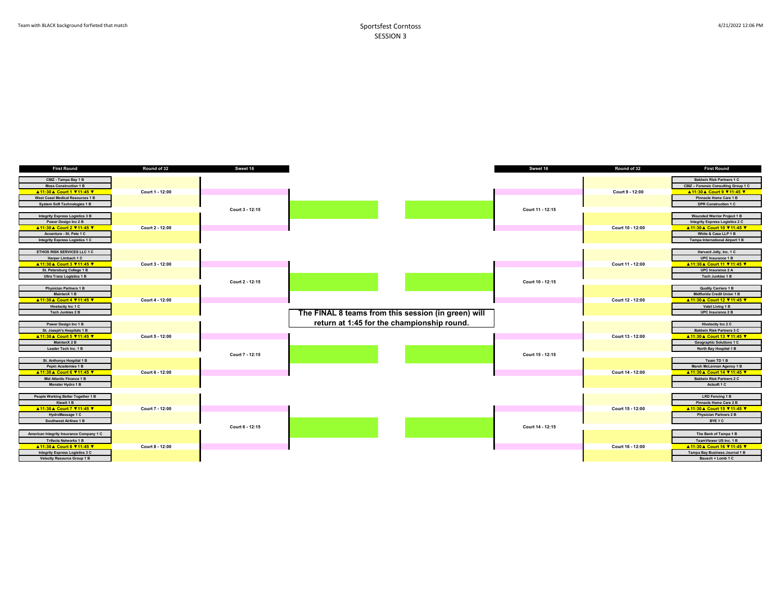| First Round                              | Round of 32     | Sweet 16        |                                                     | Sweet 16         | Round of 32      | First Round                            |
|------------------------------------------|-----------------|-----------------|-----------------------------------------------------|------------------|------------------|----------------------------------------|
|                                          |                 |                 |                                                     |                  |                  |                                        |
| CBIZ - Tampa Bay 1 B                     |                 |                 |                                                     |                  |                  | <b>Baldwin Risk Partners 1 C</b>       |
| <b>Moss Construction 1 B</b>             |                 |                 |                                                     |                  |                  | CBIZ - Forensic Consulting Group 1 C   |
| <b>A11:30 A Court 1 V11:45 V</b>         | Court 1 - 12:00 |                 |                                                     |                  | Court 9 - 12:00  | ▲11:30▲ Court 9 711:45 V               |
| West Coast Medical Resources 1 B         |                 |                 |                                                     |                  |                  | Pinnacle Home Care 1 B                 |
| <b>System Soft Technologies 1 B</b>      |                 |                 |                                                     |                  |                  | <b>DPR Construction 1 C</b>            |
|                                          |                 | Court 3 - 12:15 |                                                     | Court 11 - 12:15 |                  |                                        |
| Integrity Express Logistics 3 B          |                 |                 |                                                     |                  |                  | <b>Wounded Warrior Project 1 B</b>     |
| Power Design Inc 2 B                     |                 |                 |                                                     |                  |                  | <b>Integrity Express Logistics 2 C</b> |
| A 11:30 A Court 2 V 11:45 V              | Court 2 - 12:00 |                 |                                                     |                  | Court 10 - 12:00 | ▲11:30 A Court 10 711:45 7             |
| Accenture - St. Pete 1 C                 |                 |                 |                                                     |                  |                  | White & Case LLP 1 B                   |
| Integrity Express Logistics 1 C          |                 |                 |                                                     |                  |                  | <b>Tampa International Airport 1 B</b> |
|                                          |                 |                 |                                                     |                  |                  |                                        |
| ETHOS RISK SERVICES LLC 1 C              |                 |                 |                                                     |                  |                  | Harvard Jolly, Inc. 1 C                |
| Harper Limbach 1 C                       |                 |                 |                                                     |                  |                  | UPC Insurance 1 B                      |
| <b>A11:30 A Court 3 V11:45 V</b>         | Court 3 - 12:00 |                 |                                                     |                  | Court 11 - 12:00 | ▲11:30 A Court 11 V 11:45 V            |
| St. Petersburg College 1 B               |                 |                 |                                                     |                  |                  | UPC Insurance 2 A                      |
| <b>Ultra Tranz Logistics 1 B</b>         |                 |                 |                                                     |                  |                  | <b>Tech Junkies 1 B</b>                |
|                                          |                 | Court 2 - 12:15 |                                                     | Court 10 - 12:15 |                  |                                        |
| <b>Physician Partners 1 B</b>            |                 |                 |                                                     |                  |                  | <b>Quality Carriers 1 B</b>            |
| MaintenX 1 B                             |                 |                 |                                                     |                  |                  | Midflorida Credit Union 1 B            |
| ▲11:30▲ Court 4 ♥11:45 ▼                 | Court 4 - 12:00 |                 |                                                     |                  | Court 12 - 12:00 | ▲11:30▲ Court 12 ▼11:45 ▼              |
|                                          |                 |                 |                                                     |                  |                  |                                        |
| Hivelocity Inc 1 C                       |                 |                 |                                                     |                  |                  | Valet Living 1 B                       |
| Tech Junkies 2 B                         |                 |                 | The FINAL 8 teams from this session (in green) will |                  |                  | UPC Insurance 2 B                      |
|                                          |                 |                 | return at 1:45 for the championship round.          |                  |                  |                                        |
| Power Design Inc 1 B                     |                 |                 |                                                     |                  |                  | Hivelocity Inc 2 C                     |
| St. Joseph's Hospitals 1 B               |                 |                 |                                                     |                  |                  | <b>Baldwin Risk Partners 3 C</b>       |
| ▲11:30▲ Court 5 ♥11:45 ♥                 | Court 5 - 12:00 |                 |                                                     |                  | Court 13 - 12:00 | ▲11:30 ▲ Court 13 711:45 7             |
| MaintenX 2 B                             |                 |                 |                                                     |                  |                  | <b>Geographic Solutions 1 C</b>        |
| Leader Tech Inc. 1 B                     |                 |                 |                                                     |                  |                  | North Bay Hospital 1 B                 |
|                                          |                 | Court 7 - 12:15 |                                                     | Court 15 - 12:15 |                  |                                        |
| St. Anthonys Hospital 1 B                |                 |                 |                                                     |                  |                  | Team TD 1 B                            |
| Pepin Academies 1 B                      |                 |                 |                                                     |                  |                  | Marsh McLennan Agency 1 B              |
| ▲11:30 A Court 6 V11:45 V                | Court 6 - 12:00 |                 |                                                     |                  | Court 14 - 12:00 | ▲11:30 A Court 14 V11:45 V             |
| Mid Atlantic Finance 1 B                 |                 |                 |                                                     |                  |                  | <b>Baldwin Risk Partners 2 C</b>       |
| Monster Hydro 1 B                        |                 |                 |                                                     |                  |                  | Actsoft 1 C                            |
|                                          |                 |                 |                                                     |                  |                  |                                        |
| People Working Better Together 1 B       |                 |                 |                                                     |                  |                  | LRD Fencing 1 B                        |
| Kiewit 1 B                               |                 |                 |                                                     |                  |                  | Pinnacle Home Care 2 B                 |
| ▲11:30▲ Court 7 V11:45 V                 | Court 7 - 12:00 |                 |                                                     |                  | Court 15 - 12:00 | ▲11:30 ▲ Court 15 ▼ 11:45 V            |
| HydroMassage 1 C                         |                 |                 |                                                     |                  |                  | <b>Physician Partners 2 B</b>          |
| <b>Southwest Airlines 1 B</b>            |                 |                 |                                                     |                  |                  | BYE <sub>1</sub> C                     |
|                                          |                 | Court 6 - 12:15 |                                                     | Court 14 - 12:15 |                  |                                        |
|                                          |                 |                 |                                                     |                  |                  |                                        |
| American Integrity Insurance Company 1 C |                 |                 |                                                     |                  |                  | The Bank of Tampa 1 B                  |
| <b>Trifecta Networks 1 B</b>             |                 |                 |                                                     |                  |                  | TeamViewer US Inc. 1 B                 |
| <b>A11:30 A Court 8 V11:45 V</b>         | Court 8 - 12:00 |                 |                                                     |                  | Court 16 - 12:00 | ▲11:30 A Court 16 711:45 V             |
| Integrity Express Logistics 3 C          |                 |                 |                                                     |                  |                  | Tampa Bay Business Journal 1 B         |
| <b>Velocity Resource Group 1 B</b>       |                 |                 |                                                     |                  |                  | Bausch + Lomb 1 C                      |